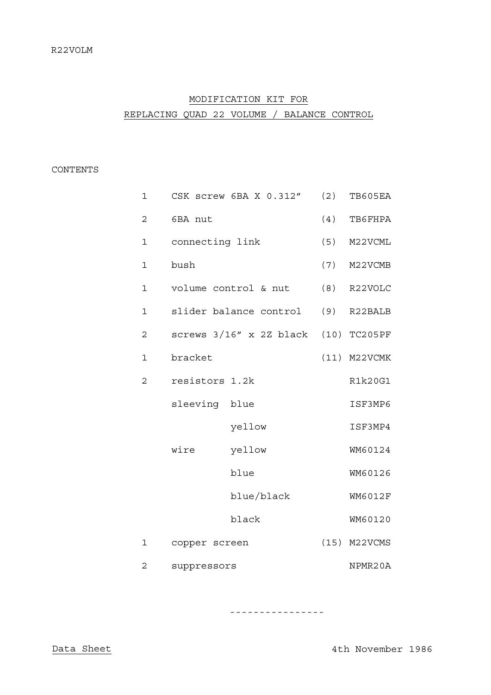## MODIFICATION KIT FOR

## REPLACING QUAD 22 VOLUME / BALANCE CONTROL

## CONTENTS

| 1              |                 | CSK screw 6BA X 0.312"                  | (2) | TB605EA        |
|----------------|-----------------|-----------------------------------------|-----|----------------|
| $\overline{c}$ | 6BA nut         |                                         | (4) | TB6FHPA        |
| $\mathbf 1$    | connecting link |                                         | (5) | M22VCML        |
| $1\,$          | bush            |                                         | (7) | M22VCMB        |
| $\mathbf{1}$   |                 | volume control & nut                    | (8) | R22VOLC        |
| $\mathbf 1$    |                 | slider balance control                  | (9) | R22BALB        |
| 2              |                 | screws $3/16''$ x 2Z black (10) TC205PF |     |                |
| $\mathbf 1$    | bracket         |                                         |     | (11) M22VCMK   |
| 2              | resistors 1.2k  |                                         |     | R1k20G1        |
|                | sleeving blue   |                                         |     | ISF3MP6        |
|                |                 | yellow                                  |     | ISF3MP4        |
|                | wire            | yellow                                  |     | WM60124        |
|                |                 | blue                                    |     | WM60126        |
|                |                 | blue/black                              |     | <b>WM6012F</b> |
|                |                 | black                                   |     | WM60120        |
| 1              | copper screen   |                                         |     | (15) M22VCMS   |
| 2              | suppressors     |                                         |     | NPMR20A        |

----------------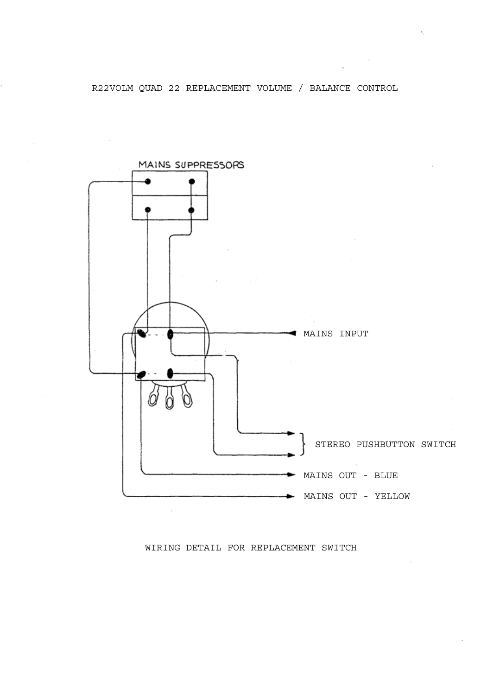R22VOLM QUAD 22 REPLACEMENT VOLUME / BALANCE CONTROL



WIRING DETAIL FOR REPLACEMENT SWITCH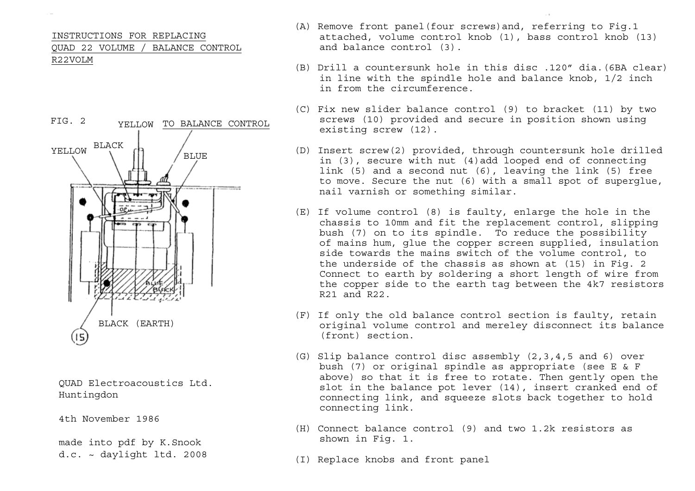INSTRUCTIONS FOR REPLACING QUAD 22 VOLUME / BALANCE CONTROL R22VOLM



QUAD Electroacoustics Ltd. Huntingdon

4th November 1986

made into pdf by K.Snook d.c. ~ daylight ltd. 2008

- (A) Remove front panel(four screws)and, referring to Fig.1 attached, volume control knob (1), bass control knob (13) and balance control (3).
- (B) Drill a countersunk hole in this disc .120" dia.(6BA clear) in line with the spindle hole and balance knob, 1/2 inch in from the circumference.
- (C) Fix new slider balance control (9) to bracket (11) by two screws (10) provided and secure in position shown using existing screw (12).
- (D) Insert screw(2) provided, through countersunk hole drilled in (3), secure with nut (4)add looped end of connecting link (5) and a second nut (6), leaving the link (5) free to move. Secure the nut (6) with a small spot of superglue, nail varnish or something similar.
- (E) If volume control (8) is faulty, enlarge the hole in the chassis to 10mm and fit the replacement control, slipping bush (7) on to its spindle. To reduce the possibility of mains hum, glue the copper screen supplied, insulation side towards the mains switch of the volume control, to the underside of the chassis as shown at (15) in Fig. 2 Connect to earth by soldering a short length of wire from the copper side to the earth tag between the 4k7 resistors R21 and R22.
- (F) If only the old balance control section is faulty, retain original volume control and mereley disconnect its balance (front) section.
- (G) Slip balance control disc assembly (2,3,4,5 and 6) over bush (7) or original spindle as appropriate (see E & F above) so that it is free to rotate. Then gently open the slot in the balance pot lever (14), insert cranked end of connecting link, and squeeze slots back together to hold connecting link.
- (H) Connect balance control (9) and two 1.2k resistors as shown in Fig. 1.
- (I) Replace knobs and front panel